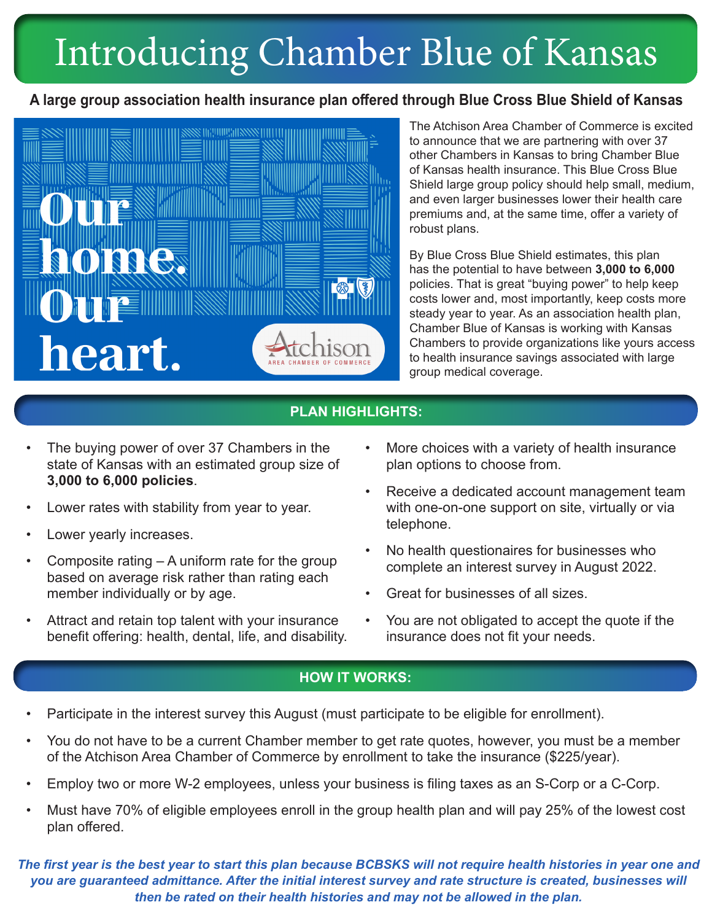# Introducing Chamber Blue of Kansas

### **A large group association health insurance plan offered through Blue Cross Blue Shield of Kansas**



The Atchison Area Chamber of Commerce is excited to announce that we are partnering with over 37 other Chambers in Kansas to bring Chamber Blue of Kansas health insurance. This Blue Cross Blue Shield large group policy should help small, medium, and even larger businesses lower their health care premiums and, at the same time, offer a variety of robust plans.

By Blue Cross Blue Shield estimates, this plan has the potential to have between **3,000 to 6,000** policies. That is great "buying power" to help keep costs lower and, most importantly, keep costs more steady year to year. As an association health plan, Chamber Blue of Kansas is working with Kansas Chambers to provide organizations like yours access to health insurance savings associated with large group medical coverage.

### **PLAN HIGHLIGHTS:**

- The buying power of over 37 Chambers in the state of Kansas with an estimated group size of **3,000 to 6,000 policies**.
- Lower rates with stability from year to year.
- Lower yearly increases.
- Composite rating  $A$  uniform rate for the group based on average risk rather than rating each member individually or by age.
- Attract and retain top talent with your insurance benefit offering: health, dental, life, and disability.
- More choices with a variety of health insurance plan options to choose from.
- Receive a dedicated account management team with one-on-one support on site, virtually or via telephone.
- No health questionaires for businesses who complete an interest survey in August 2022.
- Great for businesses of all sizes.
- You are not obligated to accept the quote if the insurance does not fit your needs.

#### **HOW IT WORKS:**

- Participate in the interest survey this August (must participate to be eligible for enrollment).
- You do not have to be a current Chamber member to get rate quotes, however, you must be a member of the Atchison Area Chamber of Commerce by enrollment to take the insurance (\$225/year).
- Employ two or more W-2 employees, unless your business is filing taxes as an S-Corp or a C-Corp.
- Must have 70% of eligible employees enroll in the group health plan and will pay 25% of the lowest cost plan offered.

*The first year is the best year to start this plan because BCBSKS will not require health histories in year one and you are guaranteed admittance. After the initial interest survey and rate structure is created, businesses will then be rated on their health histories and may not be allowed in the plan.*